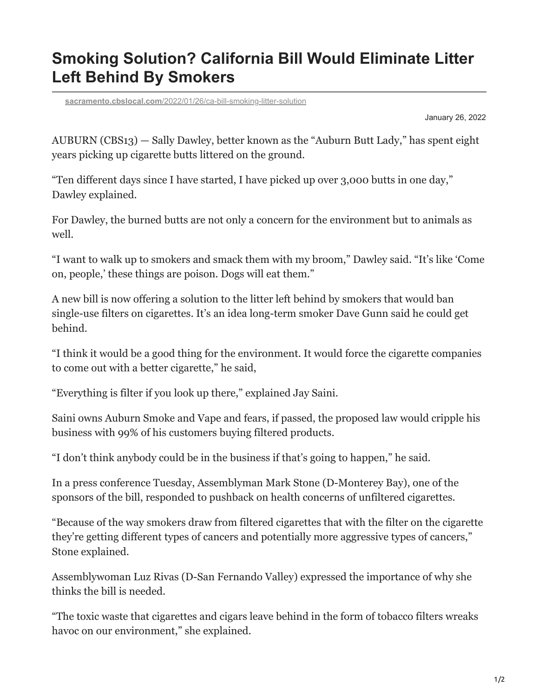## **Smoking Solution? California Bill Would Eliminate Litter Left Behind By Smokers**

**sacramento.cbslocal.com**[/2022/01/26/ca-bill-smoking-litter-solution](https://sacramento.cbslocal.com/2022/01/26/ca-bill-smoking-litter-solution/)

January 26, 2022

AUBURN (CBS13) — Sally Dawley, better known as the "Auburn Butt Lady," has spent eight years picking up cigarette butts littered on the ground.

"Ten different days since I have started, I have picked up over 3,000 butts in one day," Dawley explained.

For Dawley, the burned butts are not only a concern for the environment but to animals as well.

"I want to walk up to smokers and smack them with my broom," Dawley said. "It's like 'Come on, people,' these things are poison. Dogs will eat them."

A new bill is now offering a solution to the litter left behind by smokers that would ban single-use filters on cigarettes. It's an idea long-term smoker Dave Gunn said he could get behind.

"I think it would be a good thing for the environment. It would force the cigarette companies to come out with a better cigarette," he said,

"Everything is filter if you look up there," explained Jay Saini.

Saini owns Auburn Smoke and Vape and fears, if passed, the proposed law would cripple his business with 99% of his customers buying filtered products.

"I don't think anybody could be in the business if that's going to happen," he said.

In a press conference Tuesday, Assemblyman Mark Stone (D-Monterey Bay), one of the sponsors of the bill, responded to pushback on health concerns of unfiltered cigarettes.

"Because of the way smokers draw from filtered cigarettes that with the filter on the cigarette they're getting different types of cancers and potentially more aggressive types of cancers," Stone explained.

Assemblywoman Luz Rivas (D-San Fernando Valley) expressed the importance of why she thinks the bill is needed.

"The toxic waste that cigarettes and cigars leave behind in the form of tobacco filters wreaks havoc on our environment," she explained.